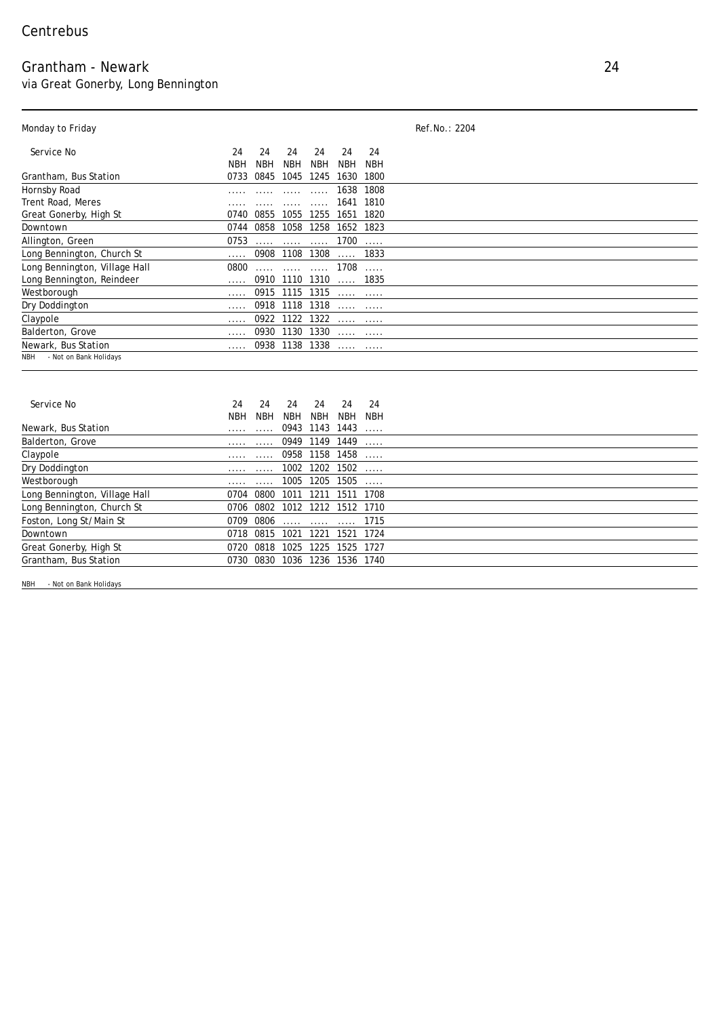## Grantham - Newark 24

via Great Gonerby, Long Bennington

## Monday to Friday **Ref.No.: 2204**

| Service No                           | 24   | 24         | 24                                                                    | 24                                                                                                                          | 24                     | 24        |
|--------------------------------------|------|------------|-----------------------------------------------------------------------|-----------------------------------------------------------------------------------------------------------------------------|------------------------|-----------|
|                                      | NBH  | <b>NBH</b> | <b>NBH</b>                                                            | <b>NBH</b>                                                                                                                  | NBH                    | NBH       |
|                                      |      |            |                                                                       |                                                                                                                             |                        |           |
| <b>Grantham, Bus Station</b>         | 0733 | 0845       | 1045                                                                  | 1245                                                                                                                        | 1630                   | 1800      |
| <b>Hornsby Road</b>                  |      |            |                                                                       |                                                                                                                             | 1638                   | 1808      |
| <b>Trent Road, Meres</b>             |      |            |                                                                       |                                                                                                                             | 1641 1810              |           |
| <b>Great Gonerby, High St</b>        | 0740 | 0855       | 1055                                                                  | 1255                                                                                                                        | 1651                   | 1820      |
| <b>Downtown</b>                      | 0744 | 0858       |                                                                       |                                                                                                                             | 1058 1258 1652 1823    |           |
| <b>Allington, Green</b>              | 0753 |            | $\begin{array}{cccccc} . & . & . & . & . & . & . & . & . \end{array}$ |                                                                                                                             | $1700$                 |           |
| <b>Long Bennington, Church St</b>    |      | 0908       | 1108 1308                                                             |                                                                                                                             |                        | 1833      |
| <b>Long Bennington, Village Hall</b> | 0800 |            |                                                                       | $\begin{array}{ccccccccc}\n& \multicolumn{2}{c }{\multicolumn{2}{c }{\multicolumn{2}{c }{\multicolumn{2}{c}}}\n\end{array}$ | 1708                   | $\ddotsc$ |
| <b>Long Bennington, Reindeer</b>     |      |            | 0910 1110 1310                                                        |                                                                                                                             |                        | …… 1835   |
| Westborough                          |      |            | 0915 1115 1315                                                        |                                                                                                                             | $\cdots$               |           |
| <b>Dry Doddington</b>                |      |            | 0918 1118 1318                                                        |                                                                                                                             | $\cdots$               |           |
| Claypole                             |      |            | 0922 1122 1322                                                        |                                                                                                                             | $\cdots \cdots \cdots$ |           |
| <b>Balderton, Grove</b>              |      |            | 0930 1130 1330                                                        |                                                                                                                             | $\cdots$               |           |
| <b>Newark, Bus Station</b>           |      |            | 0938 1138 1338                                                        |                                                                                                                             |                        |           |
| - Not on Bank Holidays<br><b>NBH</b> |      |            |                                                                       |                                                                                                                             |                        |           |

| <b>Service No</b>                    | 24   | 24                     | 24         | 24                  | 24             | 24         |  |
|--------------------------------------|------|------------------------|------------|---------------------|----------------|------------|--|
|                                      | NBH  | <b>NBH</b>             | <b>NBH</b> | <b>NBH</b>          | NBH            | <b>NBH</b> |  |
| <b>Newark, Bus Station</b>           |      | $\cdots$               |            | 0943 1143 1443      |                | $\cdots$   |  |
| <b>Balderton, Grove</b>              |      |                        |            | 0949 1149 1449      |                |            |  |
| <b>Claypole</b>                      |      |                        |            | 0958 1158 1458      |                | $\cdots$   |  |
| <b>Dry Doddington</b>                |      | $\cdots \cdots \cdots$ |            | 1002 1202 1502      |                |            |  |
| Westborough                          |      |                        | 1005       | 1205                | 1505           |            |  |
| <b>Long Bennington, Village Hall</b> | 0704 | 0800                   |            | 1011 1211 1511 1708 |                |            |  |
| <b>Long Bennington, Church St</b>    |      | 0706 0802              |            | 1012 1212 1512 1710 |                |            |  |
| <b>Foston, Long St/Main St</b>       | 0709 | 0806                   |            | 1715                |                |            |  |
| <b>Downtown</b>                      |      | 0718 0815              | 1021       |                     | 1221 1521 1724 |            |  |
| <b>Great Gonerby, High St</b>        | 0720 | 0818                   | 1025       | 1225                | 1525 1727      |            |  |
| <b>Grantham, Bus Station</b>         | 0730 | 0830                   | 1036       | 1236                | 1536 1740      |            |  |

NBH - Not on Bank Holidays